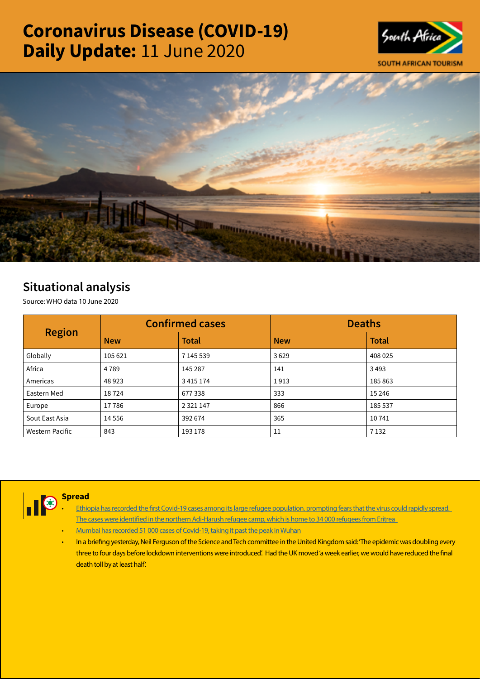# Coronavirus Disease (COVID-19) Daily Update: 11 June 2020





## Situational analysis

Source: WHO data 10 June 2020

| <b>Region</b>   |            | <b>Confirmed cases</b> | <b>Deaths</b> |              |  |
|-----------------|------------|------------------------|---------------|--------------|--|
|                 | <b>New</b> | <b>Total</b>           | <b>New</b>    | <b>Total</b> |  |
| Globally        | 105 621    | 7 145 539              | 3629          | 408 025      |  |
| Africa          | 4 7 8 9    | 145 287                | 141           | 3493         |  |
| Americas        | 48923      | 3 4 1 5 1 7 4          | 1913          | 185 863      |  |
| Eastern Med     | 18724      | 677338                 | 333           | 15 2 46      |  |
| Europe          | 17786      | 2 3 2 1 1 4 7          | 866           | 185 537      |  |
| Sout East Asia  | 14 5 5 6   | 392 674                | 365           | 10741        |  |
| Western Pacific | 843        | 193 178                | 11            | 7 1 3 2      |  |



### Spread

- Ethiopia has recorded the first Covid-19 cases among its large refugee population, prompting fears that the virus could rapidly spread. [The cases were identified in the northern Adi-Harush refugee camp, which is home to 34 000 refugees from Eritrea](https://t.co/AFfsuxU74b?amp=1)
- [Mumbai has recorded 51 000 cases of Covid-19, taking it past the peak in Wuhan](https://t.co/7S0EH8udHs?amp=1)
- In a briefing yesterday, Neil Ferguson of the Science and Tech committee in the United Kingdom said: 'The epidemic was doubling every three to four days before lockdown interventions were introduced'. Had the UK moved 'a week earlier, we would have reduced the final death toll by at least half'.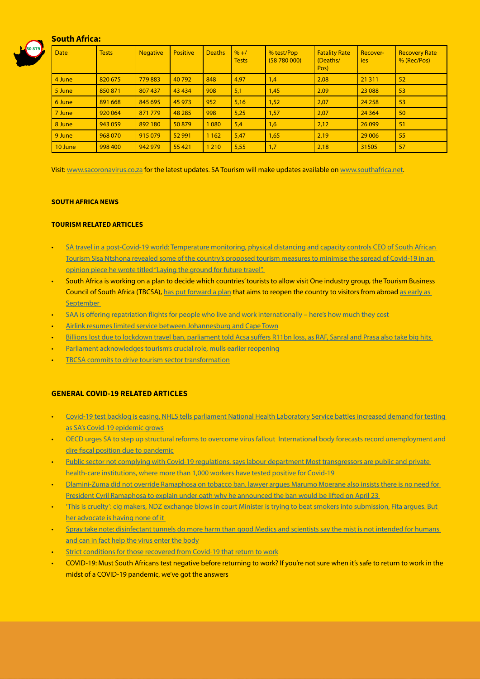#### South Africa:



| <b>Date</b> | <b>Tests</b> | <b>Negative</b> | <b>Positive</b> | <b>Deaths</b> | $% + /$<br><b>Tests</b> | % test/Pop<br>(58780000) | <b>Fatality Rate</b><br>(Deaths/<br>Pos) | Recover-<br>ies | <b>Recovery Rate</b><br>% (Rec/Pos) |
|-------------|--------------|-----------------|-----------------|---------------|-------------------------|--------------------------|------------------------------------------|-----------------|-------------------------------------|
| 4 June      | 820 675      | 779883          | 40792           | 848           | 4,97                    | 1,4                      | 2,08                                     | 21 3 11         | 52                                  |
| 5 June      | 850 871      | 807 437         | 43 4 34         | 908           | 5,1                     | 1,45                     | 2,09                                     | 23 088          | 53                                  |
| 6 June      | 891 668      | 845 695         | 45 973          | 952           | 5,16                    | 1,52                     | 2,07                                     | 24 258          | 53                                  |
| 7 June      | 920 064      | 871 779         | 48 285          | 998           | 5,25                    | 1,57                     | 2,07                                     | 24 3 64         | 50                                  |
| 8 June      | 943 059      | 892 180         | 50879           | 1 0 8 0       | 5,4                     | 1,6                      | 2,12                                     | 26 0 99         | 51                                  |
| 9 June      | 968 070      | 915 079         | 52 991          | 1 1 6 2       | 5,47                    | 1,65                     | 2,19                                     | 29 006          | 55                                  |
| 10 June     | 998 400      | 942 979         | 55 4 21         | 1 2 1 0       | 5,55                    | 1,7                      | 2,18                                     | 31505           | 57                                  |

Visit: [www.sacoronavirus.co.za](http://www.sacoronavirus.co.za) for the latest updates. SA Tourism will make updates available on [www.southafrica.net.](http://www.southafrica.net)

#### SOUTH AFRICA NEWS

#### TOURISM RELATED ARTICLES

- [SA travel in a post-Covid-19 world: Temperature monitoring, physical distancing and capacity controls CEO of South African](https://www.iol.co.za/travel/south-africa/sa-travel-in-a-post-covid-19-world-temperature-monitoring-physical-distancing-and-capacity-controls-49193537)  [Tourism Sisa Ntshona revealed some of the country's proposed tourism measures to minimise the spread of Covid-19 in an](https://www.iol.co.za/travel/south-africa/sa-travel-in-a-post-covid-19-world-temperature-monitoring-physical-distancing-and-capacity-controls-49193537)  [opinion piece he wrote titled "Laying the ground for future travel".](https://www.iol.co.za/travel/south-africa/sa-travel-in-a-post-covid-19-world-temperature-monitoring-physical-distancing-and-capacity-controls-49193537)
- South Africa is working on a plan to decide which countries' tourists to allow visit One industry group, the Tourism Business Council of South Africa (TBCSA), [has put forward a plan](https://tbcsa.travel/tourism-sector-lobbies-for-earlier-phased-safe-reopening-of-international-inbound-tourism-to-south-africa/) that aims to reopen the country to visitors from abroad as early as **September**
- SAA is offering repatriation flights for people who live and work internationally here's how much they cost
- [Airlink resumes limited service between Johannesburg and Cape Town](https://www.news24.com/fin24/companies/industrial/airlink-resumes-limited-service-between-johannesburg-and-cape-town-20200610)
- Billions lost due to lockdown travel ban, parliament told Acsa suffers R11bn loss, as RAF, Sanral and Prasa also take big hits
- [Parliament acknowledges tourism's crucial role, mulls earlier reopening](http://www.tourismupdate.co.za/article/199603/Parliament-acknowledges-tourism-s-crucial-role-mulls-earlier-reopening)
- **[TBCSA commits to drive tourism sector transformation](http://www.tourismupdate.co.za/article/199604/TBCSA-commits-to-drive-tourism-sector-transformation)**

#### GENERAL COVID-19 RELATED ARTICLES

- [Covid-19 test backlog is easing, NHLS tells parliament National Health Laboratory Service battles increased demand for testing](https://www.businesslive.co.za/bd/national/health/2020-06-10-covid-19-test-backlog-is-easing-nhls-tells-parliament/)  [as SA's Covid-19 epidemic grows](https://www.businesslive.co.za/bd/national/health/2020-06-10-covid-19-test-backlog-is-easing-nhls-tells-parliament/)
- [OECD urges SA to step up structural reforms to overcome virus fallout International body forecasts record unemployment and](https://www.businesslive.co.za/bd/economy/2020-06-10-oecd-urges-sa-to-step-up-structural-reforms-to-overcome-virus-fallout/)  [dire fiscal position due to pandemic](https://www.businesslive.co.za/bd/economy/2020-06-10-oecd-urges-sa-to-step-up-structural-reforms-to-overcome-virus-fallout/)
- Public sector not complying with Covid-19 regulations, says labour department Most transgressors are public and private [health-care institutions, where more than 1,000 workers have tested positive for Covid-19](https://www.businesslive.co.za/bd/national/labour/2020-06-10-public-sector-not-complying-with-covid-19-regulations-says-labour-department/)
- [Dlamini-Zuma did not override Ramaphosa on tobacco ban, lawyer argues Marumo Moerane also insists there is no need for](https://www.businesslive.co.za/bd/national/2020-06-10-dlamini-zuma-did-not-override-ramaphosa-on-tobacco-ban-lawyer-argues/)  [President Cyril Ramaphosa to explain under oath why he announced the ban would be lifted on April 23](https://www.businesslive.co.za/bd/national/2020-06-10-dlamini-zuma-did-not-override-ramaphosa-on-tobacco-ban-lawyer-argues/)
- ['This is cruelty': cig makers, NDZ exchange blows in court Minister is trying to beat smokers into submission, Fita argues. But](https://select.timeslive.co.za/news/2020-06-11-this-is-cruelty-cig-makers-ndz-exchange-blows-in-court/)  [her advocate is having none of it](https://select.timeslive.co.za/news/2020-06-11-this-is-cruelty-cig-makers-ndz-exchange-blows-in-court/)
- [Spray take note: disinfectant tunnels do more harm than good Medics and scientists say the mist is not intended for humans](https://select.timeslive.co.za/news/2020-06-11-spray-take-note-disinfectant-tunnels-do-more-harm-than-good/)  [and can in fact help the virus enter the body](https://select.timeslive.co.za/news/2020-06-11-spray-take-note-disinfectant-tunnels-do-more-harm-than-good/)
- [Strict conditions for those recovered from Covid-19 that return to work](https://www.iol.co.za/news/politics/strict-conditions-for-those-recovered-from-covid-19-that-return-to-work-49225088)
- COVID-19: Must South Africans test negative before returning to work? If you're not sure when it's safe to return to work in the midst of a COVID-19 pandemic, we've got the answers